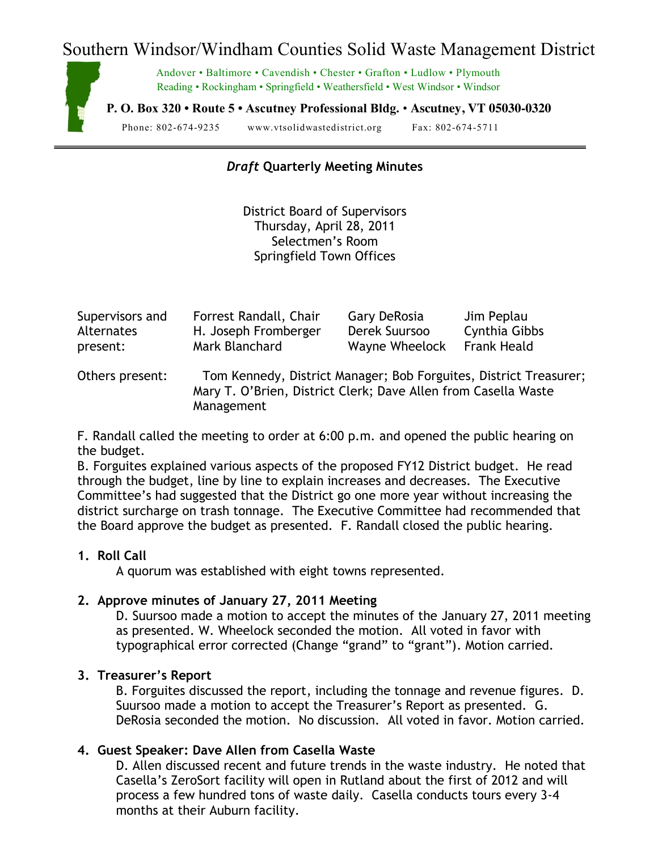# Southern Windsor/Windham Counties Solid Waste Management District



Andover • Baltimore • Cavendish • Chester • Grafton • Ludlow • Plymouth Reading • Rockingham • Springfield • Weathersfield • West Windsor • Windsor

**P. O. Box 320 • Route 5 • Ascutney Professional Bldg.** • **Ascutney, VT 05030-0320**

Phone: 802-674-9235 www.vtsolidwastedistrict.org Fax: 802-674-5711

# *Draft* **Quarterly Meeting Minutes**

District Board of Supervisors Thursday, April 28, 2011 Selectmen's Room Springfield Town Offices

| Supervisors and   | Forrest Randall, Chair                                         | Gary DeRosia   | Jim Peplau         |
|-------------------|----------------------------------------------------------------|----------------|--------------------|
| <b>Alternates</b> | H. Joseph Fromberger                                           | Derek Suursoo  | Cynthia Gibbs      |
| present:          | Mark Blanchard                                                 | Wayne Wheelock | <b>Frank Heald</b> |
| Others present:   | Tom Kennedy, District Manager: Bob Forguites, District Treasur |                |                    |

Nennedy, District Manager; Bob Forguites, District Treasurer; Mary T. O'Brien, District Clerk; Dave Allen from Casella Waste Management

F. Randall called the meeting to order at 6:00 p.m. and opened the public hearing on the budget.

B. Forguites explained various aspects of the proposed FY12 District budget. He read through the budget, line by line to explain increases and decreases. The Executive Committee's had suggested that the District go one more year without increasing the district surcharge on trash tonnage. The Executive Committee had recommended that the Board approve the budget as presented. F. Randall closed the public hearing.

## **1. Roll Call**

A quorum was established with eight towns represented.

#### **2. Approve minutes of January 27, 2011 Meeting**

D. Suursoo made a motion to accept the minutes of the January 27, 2011 meeting as presented. W. Wheelock seconded the motion. All voted in favor with typographical error corrected (Change "grand" to "grant"). Motion carried.

## **3. Treasurer's Report**

B. Forguites discussed the report, including the tonnage and revenue figures. D. Suursoo made a motion to accept the Treasurer's Report as presented. G. DeRosia seconded the motion. No discussion. All voted in favor. Motion carried.

# **4. Guest Speaker: Dave Allen from Casella Waste**

D. Allen discussed recent and future trends in the waste industry. He noted that Casella's ZeroSort facility will open in Rutland about the first of 2012 and will process a few hundred tons of waste daily. Casella conducts tours every 3-4 months at their Auburn facility.